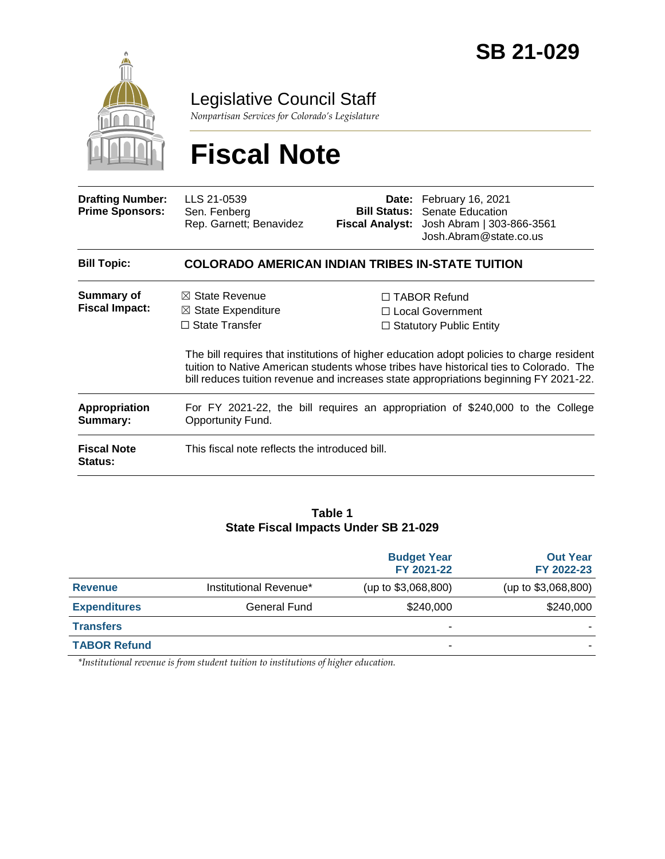

Legislative Council Staff

*Nonpartisan Services for Colorado's Legislature*

# **Fiscal Note**

| <b>Drafting Number:</b><br><b>Prime Sponsors:</b> | LLS 21-0539<br>Sen. Fenberg<br>Rep. Garnett; Benavidez                                                                                                                                                                                                                       | Bill Status: | Date: February 16, 2021<br>Senate Education<br>Fiscal Analyst: Josh Abram   303-866-3561<br>Josh.Abram@state.co.us |  |
|---------------------------------------------------|------------------------------------------------------------------------------------------------------------------------------------------------------------------------------------------------------------------------------------------------------------------------------|--------------|--------------------------------------------------------------------------------------------------------------------|--|
| <b>Bill Topic:</b>                                | COLORADO AMERICAN INDIAN TRIBES IN-STATE TUITION                                                                                                                                                                                                                             |              |                                                                                                                    |  |
| Summary of<br><b>Fiscal Impact:</b>               | $\boxtimes$ State Revenue<br>$\boxtimes$ State Expenditure<br>$\Box$ State Transfer                                                                                                                                                                                          |              | $\Box$ TABOR Refund<br>$\Box$ Local Government<br>$\Box$ Statutory Public Entity                                   |  |
|                                                   | The bill requires that institutions of higher education adopt policies to charge resident<br>tuition to Native American students whose tribes have historical ties to Colorado. The<br>bill reduces tuition revenue and increases state appropriations beginning FY 2021-22. |              |                                                                                                                    |  |
| <b>Appropriation</b><br>Summary:                  | For FY 2021-22, the bill requires an appropriation of \$240,000 to the College<br>Opportunity Fund.                                                                                                                                                                          |              |                                                                                                                    |  |
| <b>Fiscal Note</b><br><b>Status:</b>              | This fiscal note reflects the introduced bill.                                                                                                                                                                                                                               |              |                                                                                                                    |  |

#### **Table 1 State Fiscal Impacts Under SB 21-029**

|                     |                        | <b>Budget Year</b><br>FY 2021-22 | <b>Out Year</b><br>FY 2022-23 |
|---------------------|------------------------|----------------------------------|-------------------------------|
| <b>Revenue</b>      | Institutional Revenue* | (up to \$3,068,800)              | (up to \$3,068,800)           |
| <b>Expenditures</b> | General Fund           | \$240,000                        | \$240,000                     |
| <b>Transfers</b>    |                        |                                  |                               |
| <b>TABOR Refund</b> |                        | -                                |                               |

*\*Institutional revenue is from student tuition to institutions of higher education.*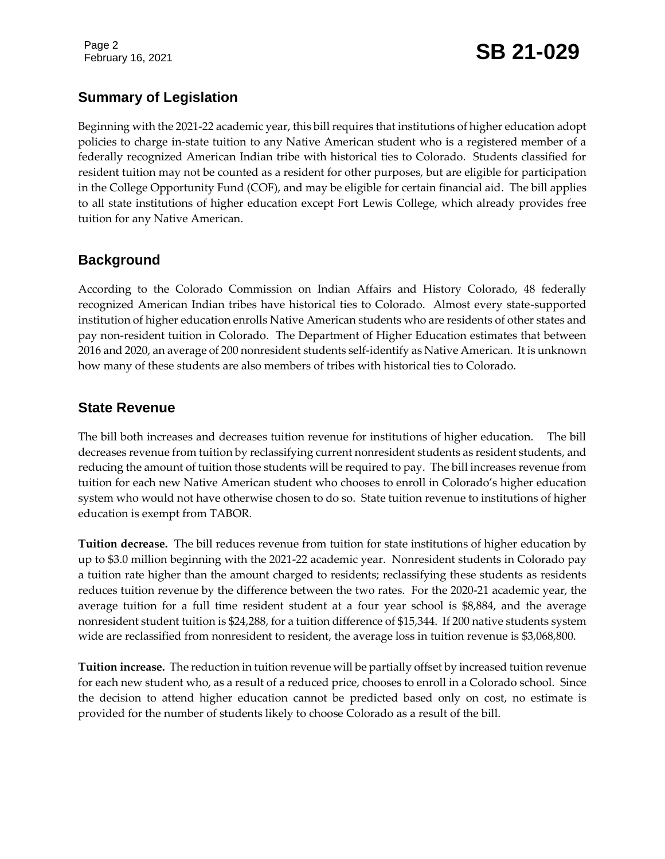Page 2

## February 16, 2021 **SB 21-029**

#### **Summary of Legislation**

Beginning with the 2021-22 academic year, this bill requires that institutions of higher education adopt policies to charge in-state tuition to any Native American student who is a registered member of a federally recognized American Indian tribe with historical ties to Colorado. Students classified for resident tuition may not be counted as a resident for other purposes, but are eligible for participation in the College Opportunity Fund (COF), and may be eligible for certain financial aid. The bill applies to all state institutions of higher education except Fort Lewis College, which already provides free tuition for any Native American.

#### **Background**

According to the Colorado Commission on Indian Affairs and History Colorado, 48 federally recognized American Indian tribes have historical ties to Colorado. Almost every state-supported institution of higher education enrolls Native American students who are residents of other states and pay non-resident tuition in Colorado. The Department of Higher Education estimates that between 2016 and 2020, an average of 200 nonresident students self-identify as Native American. It is unknown how many of these students are also members of tribes with historical ties to Colorado.

#### **State Revenue**

The bill both increases and decreases tuition revenue for institutions of higher education. The bill decreases revenue from tuition by reclassifying current nonresident students as resident students, and reducing the amount of tuition those students will be required to pay. The bill increases revenue from tuition for each new Native American student who chooses to enroll in Colorado's higher education system who would not have otherwise chosen to do so. State tuition revenue to institutions of higher education is exempt from TABOR.

**Tuition decrease.** The bill reduces revenue from tuition for state institutions of higher education by up to \$3.0 million beginning with the 2021-22 academic year. Nonresident students in Colorado pay a tuition rate higher than the amount charged to residents; reclassifying these students as residents reduces tuition revenue by the difference between the two rates. For the 2020-21 academic year, the average tuition for a full time resident student at a four year school is \$8,884, and the average nonresident student tuition is \$24,288, for a tuition difference of \$15,344. If 200 native students system wide are reclassified from nonresident to resident, the average loss in tuition revenue is \$3,068,800.

**Tuition increase.** The reduction in tuition revenue will be partially offset by increased tuition revenue for each new student who, as a result of a reduced price, chooses to enroll in a Colorado school. Since the decision to attend higher education cannot be predicted based only on cost, no estimate is provided for the number of students likely to choose Colorado as a result of the bill.